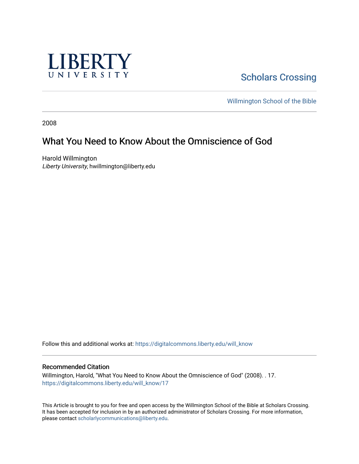

**Scholars Crossing** 

[Willmington School of the Bible](https://digitalcommons.liberty.edu/will_bible) 

2008

# What You Need to Know About the Omniscience of God

Harold Willmington Liberty University, hwillmington@liberty.edu

Follow this and additional works at: [https://digitalcommons.liberty.edu/will\\_know](https://digitalcommons.liberty.edu/will_know?utm_source=digitalcommons.liberty.edu%2Fwill_know%2F17&utm_medium=PDF&utm_campaign=PDFCoverPages)

#### Recommended Citation

Willmington, Harold, "What You Need to Know About the Omniscience of God" (2008). . 17. [https://digitalcommons.liberty.edu/will\\_know/17](https://digitalcommons.liberty.edu/will_know/17?utm_source=digitalcommons.liberty.edu%2Fwill_know%2F17&utm_medium=PDF&utm_campaign=PDFCoverPages) 

This Article is brought to you for free and open access by the Willmington School of the Bible at Scholars Crossing. It has been accepted for inclusion in by an authorized administrator of Scholars Crossing. For more information, please contact [scholarlycommunications@liberty.edu.](mailto:scholarlycommunications@liberty.edu)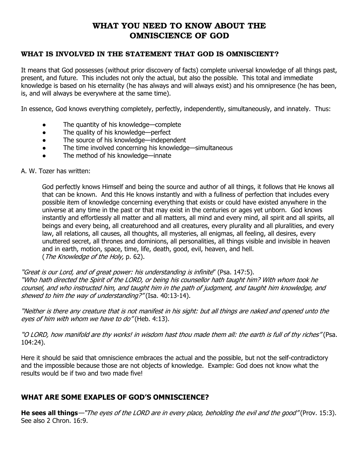# WHAT YOU NEED TO KNOW ABOUT THE OMNISCIENCE OF GOD

### WHAT IS INVOLVED IN THE STATEMENT THAT GOD IS OMNISCIENT?

It means that God possesses (without prior discovery of facts) complete universal knowledge of all things past, present, and future. This includes not only the actual, but also the possible. This total and immediate knowledge is based on his eternality (he has always and will always exist) and his omnipresence (he has been, is, and will always be everywhere at the same time).

In essence, God knows everything completely, perfectly, independently, simultaneously, and innately. Thus:

- The quantity of his knowledge—complete
- The quality of his knowledge—perfect
- The source of his knowledge—independent
- The time involved concerning his knowledge—simultaneous
- The method of his knowledge—innate

#### A. W. Tozer has written:

God perfectly knows Himself and being the source and author of all things, it follows that He knows all that can be known. And this He knows instantly and with a fullness of perfection that includes every possible item of knowledge concerning everything that exists or could have existed anywhere in the universe at any time in the past or that may exist in the centuries or ages yet unborn. God knows instantly and effortlessly all matter and all matters, all mind and every mind, all spirit and all spirits, all beings and every being, all creaturehood and all creatures, every plurality and all pluralities, and every law, all relations, all causes, all thoughts, all mysteries, all enigmas, all feeling, all desires, every unuttered secret, all thrones and dominions, all personalities, all things visible and invisible in heaven and in earth, motion, space, time, life, death, good, evil, heaven, and hell. (The Knowledge of the Holy, p. 62).

"Great is our Lord, and of great power: his understanding is infinite" (Psa. 147:5). "Who hath directed the Spirit of the LORD, or being his counsellor hath taught him? With whom took he counsel, and who instructed him, and taught him in the path of judgment, and taught him knowledge, and shewed to him the way of understanding?" (Isa. 40:13-14).

"Neither is there any creature that is not manifest in his sight: but all things are naked and opened unto the eyes of him with whom we have to do" (Heb. 4:13).

"O LORD, how manifold are thy works! in wisdom hast thou made them all: the earth is full of thy riches" (Psa. 104:24).

Here it should be said that omniscience embraces the actual and the possible, but not the self-contradictory and the impossible because those are not objects of knowledge. Example: God does not know what the results would be if two and two made five!

## WHAT ARE SOME EXAPLES OF GOD'S OMNISCIENCE?

He sees all things—"The eyes of the LORD are in every place, beholding the evil and the good" (Prov. 15:3). See also 2 Chron. 16:9.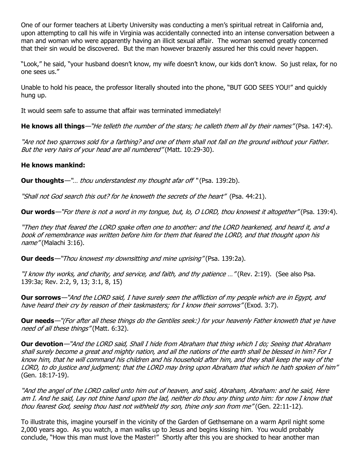One of our former teachers at Liberty University was conducting a men's spiritual retreat in California and, upon attempting to call his wife in Virginia was accidentally connected into an intense conversation between a man and woman who were apparently having an illicit sexual affair. The woman seemed greatly concerned that their sin would be discovered. But the man however brazenly assured her this could never happen.

"Look," he said, "your husband doesn't know, my wife doesn't know, our kids don't know. So just relax, for no one sees us."

Unable to hold his peace, the professor literally shouted into the phone, "BUT GOD SEES YOU!" and quickly hung up.

It would seem safe to assume that affair was terminated immediately!

He knows all things—"He telleth the number of the stars; he calleth them all by their names" (Psa. 147:4).

"Are not two sparrows sold for a farthing? and one of them shall not fall on the ground without your Father. But the very hairs of your head are all numbered" (Matt. 10:29-30).

#### He knows mankind:

**Our thoughts**—"... thou understandest my thought afar off "(Psa. 139:2b).

"Shall not God search this out? for he knoweth the secrets of the heart" (Psa. 44:21).

**Our words**—"For there is not a word in my tongue, but, lo, O LORD, thou knowest it altogether" (Psa. 139:4).

"Then they that feared the LORD spake often one to another: and the LORD hearkened, and heard it, and a book of remembrance was written before him for them that feared the LORD, and that thought upon his name" (Malachi 3:16).

**Our deeds**—"Thou knowest my downsitting and mine uprising" (Psa. 139:2a).

"I know thy works, and charity, and service, and faith, and thy patience …" (Rev. 2:19). (See also Psa. 139:3a; Rev. 2:2, 9, 13; 3:1, 8, 15)

Our sorrows—"And the LORD said, I have surely seen the affliction of my people which are in Egypt, and have heard their cry by reason of their taskmasters; for I know their sorrows" (Exod. 3:7).

Our needs—"(For after all these things do the Gentiles seek:) for your heavenly Father knoweth that ye have need of all these things" (Matt. 6:32).

Our devotion—"And the LORD said, Shall I hide from Abraham that thing which I do; Seeing that Abraham shall surely become a great and mighty nation, and all the nations of the earth shall be blessed in him? For I know him, that he will command his children and his household after him, and they shall keep the way of the LORD, to do justice and judgment; that the LORD may bring upon Abraham that which he hath spoken of him" (Gen. 18:17-19).

"And the angel of the LORD called unto him out of heaven, and said, Abraham, Abraham: and he said, Here am I. And he said, Lay not thine hand upon the lad, neither do thou any thing unto him: for now I know that thou fearest God, seeing thou hast not withheld thy son, thine only son from me" (Gen. 22:11-12).

To illustrate this, imagine yourself in the vicinity of the Garden of Gethsemane on a warm April night some 2,000 years ago. As you watch, a man walks up to Jesus and begins kissing him. You would probably conclude, "How this man must love the Master!" Shortly after this you are shocked to hear another man